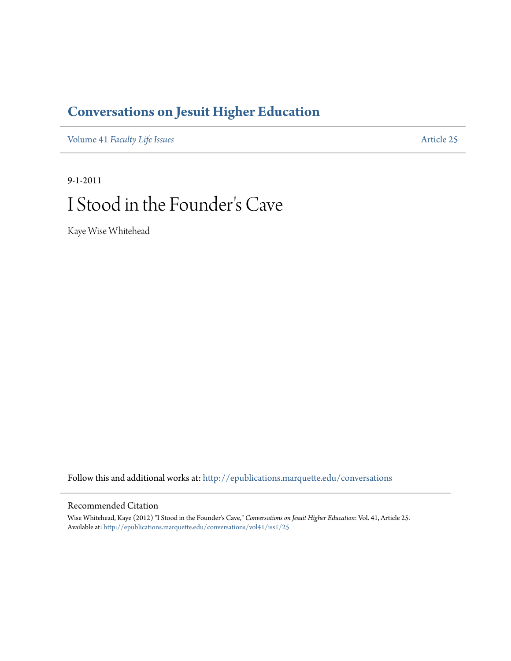## **[Conversations on Jesuit Higher Education](http://epublications.marquette.edu/conversations?utm_source=epublications.marquette.edu%2Fconversations%2Fvol41%2Fiss1%2F25&utm_medium=PDF&utm_campaign=PDFCoverPages)**

Volume 41 *[Faculty Life Issues](http://epublications.marquette.edu/conversations/vol41?utm_source=epublications.marquette.edu%2Fconversations%2Fvol41%2Fiss1%2F25&utm_medium=PDF&utm_campaign=PDFCoverPages)* [Article 25](http://epublications.marquette.edu/conversations/vol41/iss1/25?utm_source=epublications.marquette.edu%2Fconversations%2Fvol41%2Fiss1%2F25&utm_medium=PDF&utm_campaign=PDFCoverPages)

## 9-1-2011 I Stood in the Founder 's Cave

Kaye Wise Whitehead

Follow this and additional works at: [http://epublications.marquette.edu/conversations](http://epublications.marquette.edu/conversations?utm_source=epublications.marquette.edu%2Fconversations%2Fvol41%2Fiss1%2F25&utm_medium=PDF&utm_campaign=PDFCoverPages)

## Recommended Citation

Wise Whitehead, Kaye (2012) "I Stood in the Founder's Cave," *Conversations on Jesuit Higher Education*: Vol. 41, Article 25. Available at: [http://epublications.marquette.edu/conversations/vol41/iss1/25](http://epublications.marquette.edu/conversations/vol41/iss1/25?utm_source=epublications.marquette.edu%2Fconversations%2Fvol41%2Fiss1%2F25&utm_medium=PDF&utm_campaign=PDFCoverPages)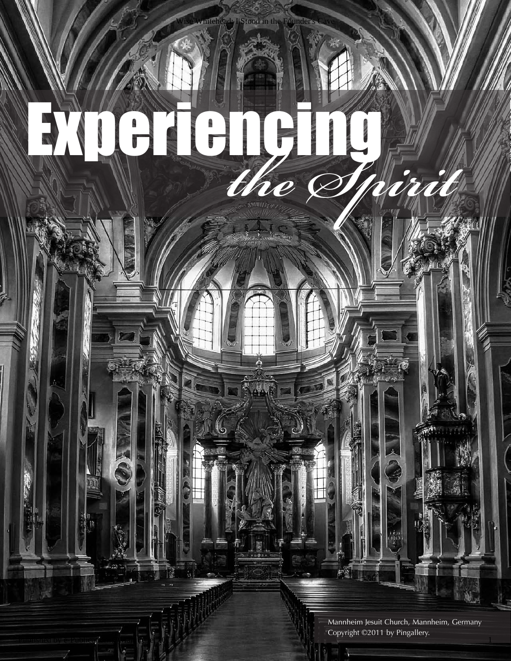Mannheim Jesuit Church, Mannheim, Germany Copyright ©2011 by Pingallery.

experiencing *the Spirit*

Published by e-Publications was lieders 012

Ŋ

Stood in the